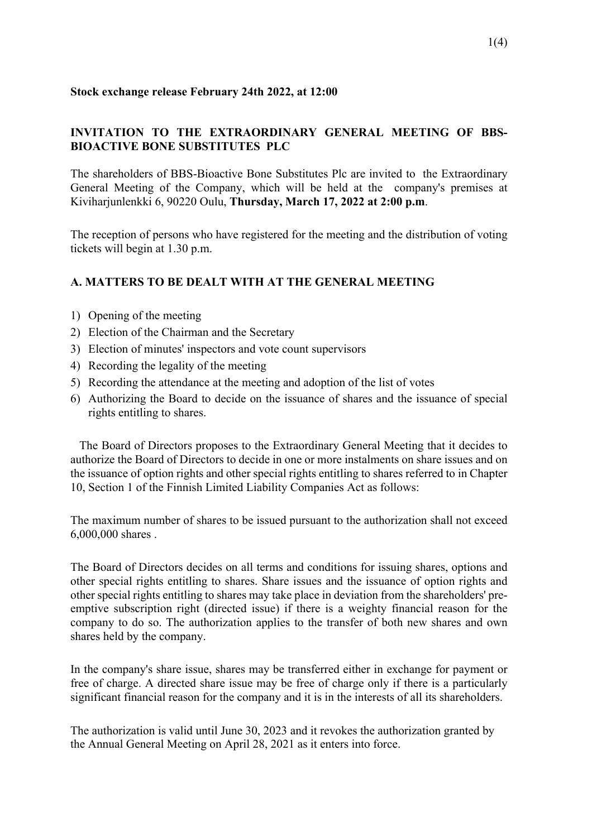#### **Stock exchange release February 24th 2022, at 12:00**

# **INVITATION TO THE EXTRAORDINARY GENERAL MEETING OF BBS-BIOACTIVE BONE SUBSTITUTES PLC**

The shareholders of BBS-Bioactive Bone Substitutes Plc are invited to the Extraordinary General Meeting of the Company, which will be held at the company's premises at Kiviharjunlenkki 6, 90220 Oulu, **Thursday, March 17, 2022 at 2:00 p.m**.

The reception of persons who have registered for the meeting and the distribution of voting tickets will begin at 1.30 p.m.

## **A. MATTERS TO BE DEALT WITH AT THE GENERAL MEETING**

- 1) Opening of the meeting
- 2) Election of the Chairman and the Secretary
- 3) Election of minutes' inspectors and vote count supervisors
- 4) Recording the legality of the meeting
- 5) Recording the attendance at the meeting and adoption of the list of votes
- 6) Authorizing the Board to decide on the issuance of shares and the issuance of special rights entitling to shares.

The Board of Directors proposes to the Extraordinary General Meeting that it decides to authorize the Board of Directors to decide in one or more instalments on share issues and on the issuance of option rights and other special rights entitling to shares referred to in Chapter 10, Section 1 of the Finnish Limited Liability Companies Act as follows:

The maximum number of shares to be issued pursuant to the authorization shall not exceed 6,000,000 shares .

The Board of Directors decides on all terms and conditions for issuing shares, options and other special rights entitling to shares. Share issues and the issuance of option rights and other special rights entitling to shares may take place in deviation from the shareholders' preemptive subscription right (directed issue) if there is a weighty financial reason for the company to do so. The authorization applies to the transfer of both new shares and own shares held by the company.

In the company's share issue, shares may be transferred either in exchange for payment or free of charge. A directed share issue may be free of charge only if there is a particularly significant financial reason for the company and it is in the interests of all its shareholders.

The authorization is valid until June 30, 2023 and it revokes the authorization granted by the Annual General Meeting on April 28, 2021 as it enters into force.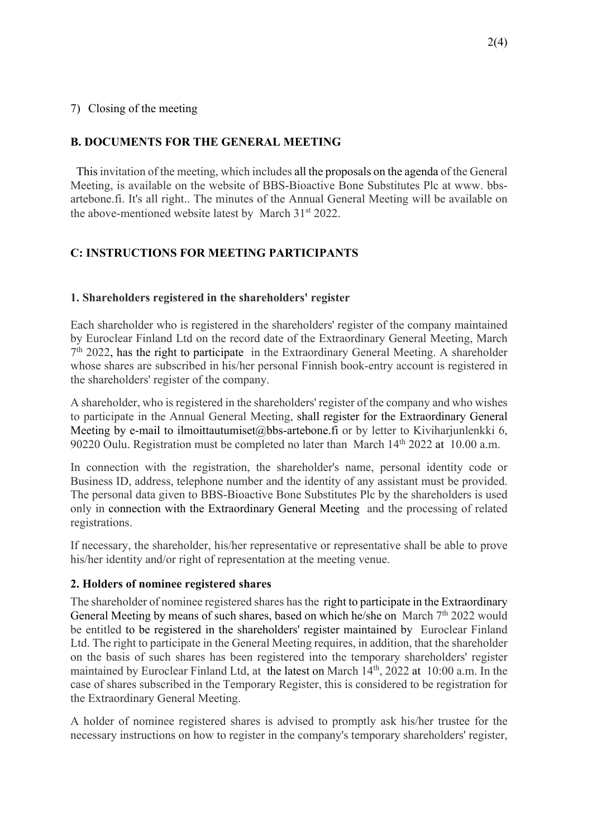#### 7) Closing of the meeting

## **B. DOCUMENTS FOR THE GENERAL MEETING**

This invitation of the meeting, which includes all the proposals on the agenda of the General Meeting, is available on the website of BBS-Bioactive Bone Substitutes Plc at www. bbsartebone.fi. It's all right.. The minutes of the Annual General Meeting will be available on the above-mentioned website latest by March 31st 2022.

# **C: INSTRUCTIONS FOR MEETING PARTICIPANTS**

### **1. Shareholders registered in the shareholders' register**

Each shareholder who is registered in the shareholders' register of the company maintained by Euroclear Finland Ltd on the record date of the Extraordinary General Meeting, March  $7<sup>th</sup>$  2022, has the right to participate in the Extraordinary General Meeting. A shareholder whose shares are subscribed in his/her personal Finnish book-entry account is registered in the shareholders' register of the company.

A shareholder, who is registered in the shareholders' register of the company and who wishes to participate in the Annual General Meeting, shall register for the Extraordinary General Meeting by e-mail to ilmoittautumiset@bbs-artebone.fi or by letter to Kiviharjunlenkki 6, 90220 Oulu. Registration must be completed no later than March 14<sup>th</sup> 2022 at 10.00 a.m.

In connection with the registration, the shareholder's name, personal identity code or Business ID, address, telephone number and the identity of any assistant must be provided. The personal data given to BBS-Bioactive Bone Substitutes Plc by the shareholders is used only in connection with the Extraordinary General Meeting and the processing of related registrations.

If necessary, the shareholder, his/her representative or representative shall be able to prove his/her identity and/or right of representation at the meeting venue.

#### **2. Holders of nominee registered shares**

The shareholder of nominee registered shares has the right to participate in the Extraordinary General Meeting by means of such shares, based on which he/she on March  $7<sup>th</sup> 2022$  would be entitled to be registered in the shareholders' register maintained by Euroclear Finland Ltd. The right to participate in the General Meeting requires, in addition, that the shareholder on the basis of such shares has been registered into the temporary shareholders' register maintained by Euroclear Finland Ltd, at the latest on March 14<sup>th</sup>, 2022 at 10:00 a.m. In the case of shares subscribed in the Temporary Register, this is considered to be registration for the Extraordinary General Meeting.

A holder of nominee registered shares is advised to promptly ask his/her trustee for the necessary instructions on how to register in the company's temporary shareholders' register,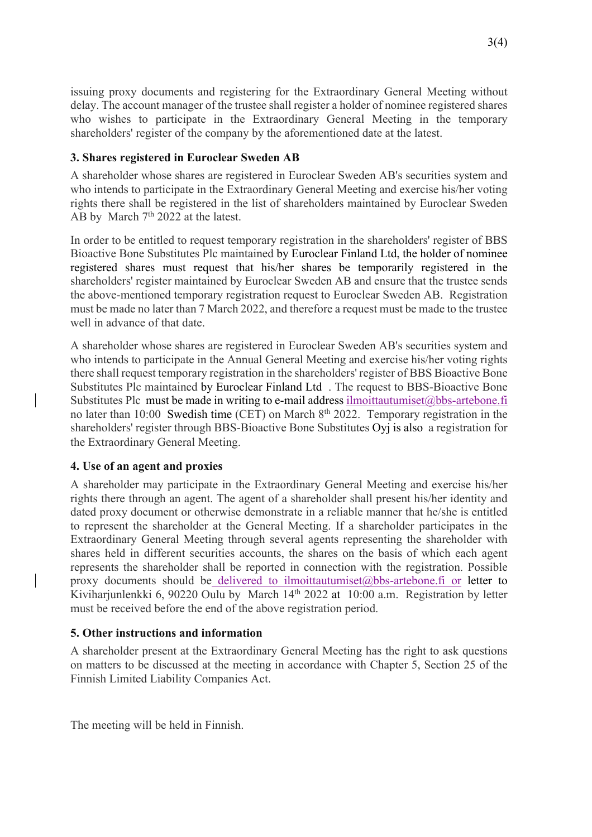issuing proxy documents and registering for the Extraordinary General Meeting without delay. The account manager of the trustee shall register a holder of nominee registered shares who wishes to participate in the Extraordinary General Meeting in the temporary shareholders' register of the company by the aforementioned date at the latest.

### **3. Shares registered in Euroclear Sweden AB**

A shareholder whose shares are registered in Euroclear Sweden AB's securities system and who intends to participate in the Extraordinary General Meeting and exercise his/her voting rights there shall be registered in the list of shareholders maintained by Euroclear Sweden AB by March  $7<sup>th</sup>$  2022 at the latest.

In order to be entitled to request temporary registration in the shareholders' register of BBS Bioactive Bone Substitutes Plc maintained by Euroclear Finland Ltd, the holder of nominee registered shares must request that his/her shares be temporarily registered in the shareholders' register maintained by Euroclear Sweden AB and ensure that the trustee sends the above-mentioned temporary registration request to Euroclear Sweden AB. Registration must be made no later than 7 March 2022, and therefore a request must be made to the trustee well in advance of that date.

A shareholder whose shares are registered in Euroclear Sweden AB's securities system and who intends to participate in the Annual General Meeting and exercise his/her voting rights there shall request temporary registration in the shareholders' register of BBS Bioactive Bone Substitutes Plc maintained by Euroclear Finland Ltd . The request to BBS-Bioactive Bone Substitutes Plc must be made in writing to e-mail address ilmoittautumiset $@$ bbs-artebone.fi no later than 10:00 Swedish time (CET) on March 8<sup>th</sup> 2022. Temporary registration in the shareholders' register through BBS-Bioactive Bone Substitutes Oyj is also a registration for the Extraordinary General Meeting.

#### **4. Use of an agent and proxies**

A shareholder may participate in the Extraordinary General Meeting and exercise his/her rights there through an agent. The agent of a shareholder shall present his/her identity and dated proxy document or otherwise demonstrate in a reliable manner that he/she is entitled to represent the shareholder at the General Meeting. If a shareholder participates in the Extraordinary General Meeting through several agents representing the shareholder with shares held in different securities accounts, the shares on the basis of which each agent represents the shareholder shall be reported in connection with the registration. Possible proxy documents should be delivered to ilmoittautumiset@bbs-artebone.fi or letter to Kiviharjunlenkki 6, 90220 Oulu by March 14<sup>th</sup> 2022 at 10:00 a.m. Registration by letter must be received before the end of the above registration period.

## **5. Other instructions and information**

A shareholder present at the Extraordinary General Meeting has the right to ask questions on matters to be discussed at the meeting in accordance with Chapter 5, Section 25 of the Finnish Limited Liability Companies Act.

The meeting will be held in Finnish.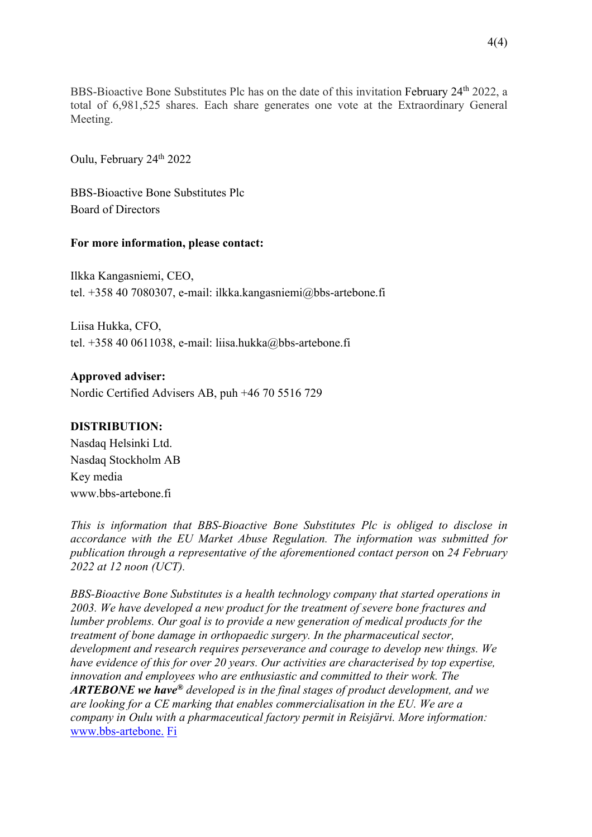BBS-Bioactive Bone Substitutes Plc has on the date of this invitation February 24<sup>th</sup> 2022, a total of 6,981,525 shares. Each share generates one vote at the Extraordinary General Meeting.

Oulu, February 24<sup>th</sup> 2022

BBS-Bioactive Bone Substitutes Plc Board of Directors

#### **For more information, please contact:**

Ilkka Kangasniemi, CEO, tel. +358 40 7080307, e-mail: ilkka.kangasniemi@bbs-artebone.fi

Liisa Hukka, CFO, tel. +358 40 0611038, e-mail: liisa.hukka@bbs-artebone.fi

#### **Approved adviser:**

Nordic Certified Advisers AB, puh +46 70 5516 729

#### **DISTRIBUTION:**

Nasdaq Helsinki Ltd. Nasdaq Stockholm AB Key media www.bbs-artebone.fi

*This is information that BBS-Bioactive Bone Substitutes Plc is obliged to disclose in accordance with the EU Market Abuse Regulation. The information was submitted for publication through a representative of the aforementioned contact person* on *24 February 2022 at 12 noon (UCT).*

*BBS-Bioactive Bone Substitutes is a health technology company that started operations in 2003. We have developed a new product for the treatment of severe bone fractures and lumber problems. Our goal is to provide a new generation of medical products for the treatment of bone damage in orthopaedic surgery. In the pharmaceutical sector, development and research requires perseverance and courage to develop new things. We have evidence of this for over 20 years. Our activities are characterised by top expertise, innovation and employees who are enthusiastic and committed to their work. The ARTEBONE we have® developed is in the final stages of product development, and we are looking for a CE marking that enables commercialisation in the EU. We are a company in Oulu with a pharmaceutical factory permit in Reisjärvi. More information:*  www.bbs-artebone. Fi